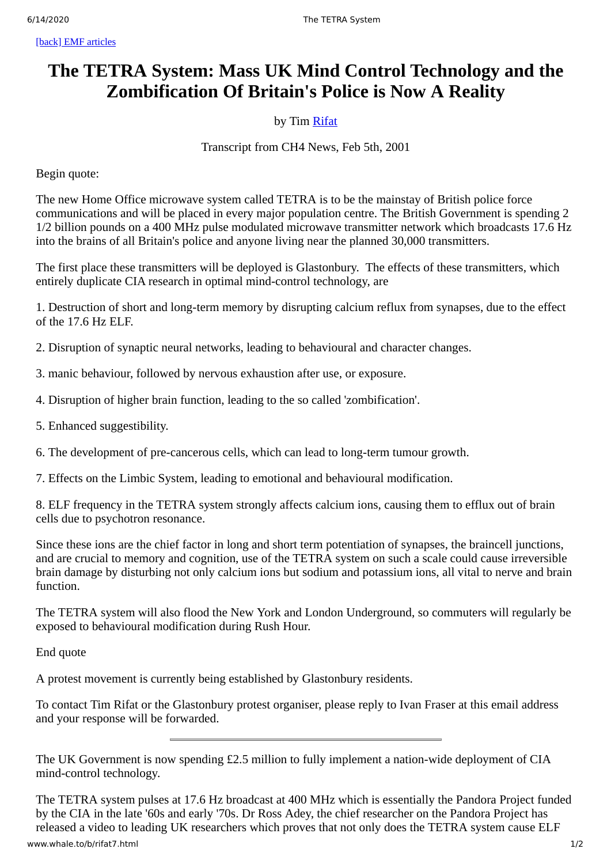# **The TETRA System: Mass UK Mind Control Technology and the Zombification Of Britain's Police is Now A Reality**

### by Tim [Rifat](http://www.whale.to/b/rifat_h.html)

## Transcript from CH4 News, Feb 5th, 2001

Begin quote:

The new Home Office microwave system called TETRA is to be the mainstay of British police force communications and will be placed in every major population centre. The British Government is spending 2 1/2 billion pounds on a 400 MHz pulse modulated microwave transmitter network which broadcasts 17.6 Hz into the brains of all Britain's police and anyone living near the planned 30,000 transmitters.

The first place these transmitters will be deployed is Glastonbury. The effects of these transmitters, which entirely duplicate CIA research in optimal mind-control technology, are

1. Destruction of short and long-term memory by disrupting calcium reflux from synapses, due to the effect of the 17.6 Hz ELF.

2. Disruption of synaptic neural networks, leading to behavioural and character changes.

- 3. manic behaviour, followed by nervous exhaustion after use, or exposure.
- 4. Disruption of higher brain function, leading to the so called 'zombification'.
- 5. Enhanced suggestibility.
- 6. The development of pre-cancerous cells, which can lead to long-term tumour growth.
- 7. Effects on the Limbic System, leading to emotional and behavioural modification.

8. ELF frequency in the TETRA system strongly affects calcium ions, causing them to efflux out of brain cells due to psychotron resonance.

Since these ions are the chief factor in long and short term potentiation of synapses, the braincell junctions, and are crucial to memory and cognition, use of the TETRA system on such a scale could cause irreversible brain damage by disturbing not only calcium ions but sodium and potassium ions, all vital to nerve and brain function.

The TETRA system will also flood the New York and London Underground, so commuters will regularly be exposed to behavioural modification during Rush Hour.

End quote

A protest movement is currently being established by Glastonbury residents.

To contact Tim Rifat or the Glastonbury protest organiser, please reply to Ivan Fraser at this email address and your response will be forwarded.

The UK Government is now spending £2.5 million to fully implement a nation-wide deployment of CIA mind-control technology.

www.whale.to/b/rifat7.html 1/2 The TETRA system pulses at 17.6 Hz broadcast at 400 MHz which is essentially the Pandora Project funded by the CIA in the late '60s and early '70s. Dr Ross Adey, the chief researcher on the Pandora Project has released a video to leading UK researchers which proves that not only does the TETRA system cause ELF